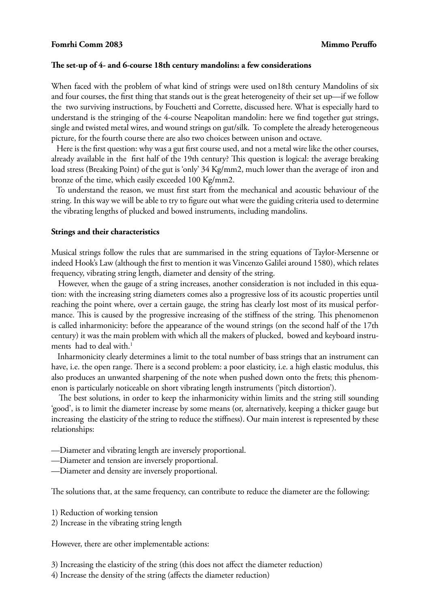## **Fomrhi Comm 2083 Mimmo Peruffo**

#### **The set-up of 4- and 6-course 18th century mandolins: a few considerations**

When faced with the problem of what kind of strings were used on18th century Mandolins of six and four courses, the first thing that stands out is the great heterogeneity of their set up—if we follow the two surviving instructions, by Fouchetti and Corrette, discussed here. What is especially hard to understand is the stringing of the 4-course Neapolitan mandolin: here we find together gut strings, single and twisted metal wires, and wound strings on gut/silk. To complete the already heterogeneous picture, for the fourth course there are also two choices between unison and octave.

 Here is the first question: why was a gut first course used, and not a metal wire like the other courses, already available in the first half of the 19th century? This question is logical: the average breaking load stress (Breaking Point) of the gut is 'only' 34 Kg/mm2, much lower than the average of iron and bronze of the time, which easily exceeded 100 Kg/mm2.

 To understand the reason, we must first start from the mechanical and acoustic behaviour of the string. In this way we will be able to try to figure out what were the guiding criteria used to determine the vibrating lengths of plucked and bowed instruments, including mandolins.

#### **Strings and their characteristics**

Musical strings follow the rules that are summarised in the string equations of Taylor-Mersenne or indeed Hook's Law (although the first to mention it was Vincenzo Galilei around 1580), which relates frequency, vibrating string length, diameter and density of the string.

 However, when the gauge of a string increases, another consideration is not included in this equation: with the increasing string diameters comes also a progressive loss of its acoustic properties until reaching the point where, over a certain gauge, the string has clearly lost most of its musical performance. This is caused by the progressive increasing of the stiffness of the string. This phenomenon is called inharmonicity: before the appearance of the wound strings (on the second half of the 17th century) it was the main problem with which all the makers of plucked, bowed and keyboard instruments had to deal with.<sup>1</sup>

 Inharmonicity clearly determines a limit to the total number of bass strings that an instrument can have, i.e. the open range. There is a second problem: a poor elasticity, i.e. a high elastic modulus, this also produces an unwanted sharpening of the note when pushed down onto the frets; this phenomenon is particularly noticeable on short vibrating length instruments ('pitch distortion').

 The best solutions, in order to keep the inharmonicity within limits and the string still sounding 'good', is to limit the diameter increase by some means (or, alternatively, keeping a thicker gauge but increasing the elasticity of the string to reduce the stiffness). Our main interest is represented by these relationships:

- —Diameter and vibrating length are inversely proportional.
- —Diameter and tension are inversely proportional.
- —Diameter and density are inversely proportional.

The solutions that, at the same frequency, can contribute to reduce the diameter are the following:

- 1) Reduction of working tension
- 2) Increase in the vibrating string length

However, there are other implementable actions:

3) Increasing the elasticity of the string (this does not affect the diameter reduction)

4) Increase the density of the string (affects the diameter reduction)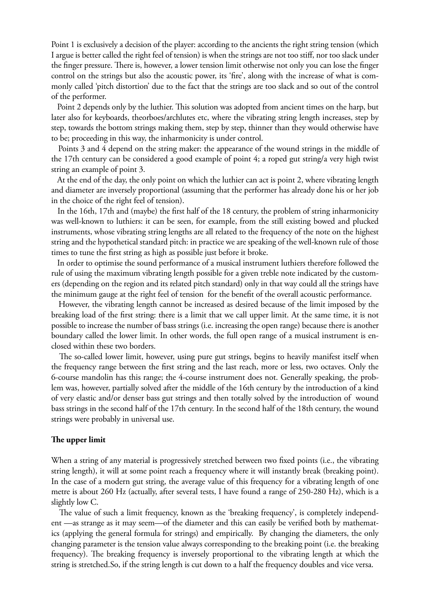Point 1 is exclusively a decision of the player: according to the ancients the right string tension (which I argue is better called the right feel of tension) is when the strings are not too stiff, nor too slack under the finger pressure. There is, however, a lower tension limit otherwise not only you can lose the finger control on the strings but also the acoustic power, its 'fire', along with the increase of what is commonly called 'pitch distortion' due to the fact that the strings are too slack and so out of the control of the performer.

 Point 2 depends only by the luthier. This solution was adopted from ancient times on the harp, but later also for keyboards, theorboes/archlutes etc, where the vibrating string length increases, step by step, towards the bottom strings making them, step by step, thinner than they would otherwise have to be; proceeding in this way, the inharmonicity is under control.

 Points 3 and 4 depend on the string maker: the appearance of the wound strings in the middle of the 17th century can be considered a good example of point 4; a roped gut string/a very high twist string an example of point 3.

 At the end of the day, the only point on which the luthier can act is point 2, where vibrating length and diameter are inversely proportional (assuming that the performer has already done his or her job in the choice of the right feel of tension).

 In the 16th, 17th and (maybe) the first half of the 18 century, the problem of string inharmonicity was well-known to luthiers: it can be seen, for example, from the still existing bowed and plucked instruments, whose vibrating string lengths are all related to the frequency of the note on the highest string and the hypothetical standard pitch: in practice we are speaking of the well-known rule of those times to tune the first string as high as possible just before it broke.

 In order to optimise the sound performance of a musical instrument luthiers therefore followed the rule of using the maximum vibrating length possible for a given treble note indicated by the customers (depending on the region and its related pitch standard) only in that way could all the strings have the minimum gauge at the right feel of tension for the benefit of the overall acoustic performance.

 However, the vibrating length cannot be increased as desired because of the limit imposed by the breaking load of the first string: there is a limit that we call upper limit. At the same time, it is not possible to increase the number of bass strings (i.e. increasing the open range) because there is another boundary called the lower limit. In other words, the full open range of a musical instrument is enclosed within these two borders.

 The so-called lower limit, however, using pure gut strings, begins to heavily manifest itself when the frequency range between the first string and the last reach, more or less, two octaves. Only the 6-course mandolin has this range; the 4-course instrument does not. Generally speaking, the problem was, however, partially solved after the middle of the 16th century by the introduction of a kind of very elastic and/or denser bass gut strings and then totally solved by the introduction of wound bass strings in the second half of the 17th century. In the second half of the 18th century, the wound strings were probably in universal use.

#### **The upper limit**

When a string of any material is progressively stretched between two fixed points (i.e., the vibrating string length), it will at some point reach a frequency where it will instantly break (breaking point). In the case of a modern gut string, the average value of this frequency for a vibrating length of one metre is about 260 Hz (actually, after several tests, I have found a range of 250-280 Hz), which is a slightly low C.

 The value of such a limit frequency, known as the 'breaking frequency', is completely independent —as strange as it may seem—of the diameter and this can easily be verified both by mathematics (applying the general formula for strings) and empirically. By changing the diameters, the only changing parameter is the tension value always corresponding to the breaking point (i.e. the breaking frequency). The breaking frequency is inversely proportional to the vibrating length at which the string is stretched.So, if the string length is cut down to a half the frequency doubles and vice versa.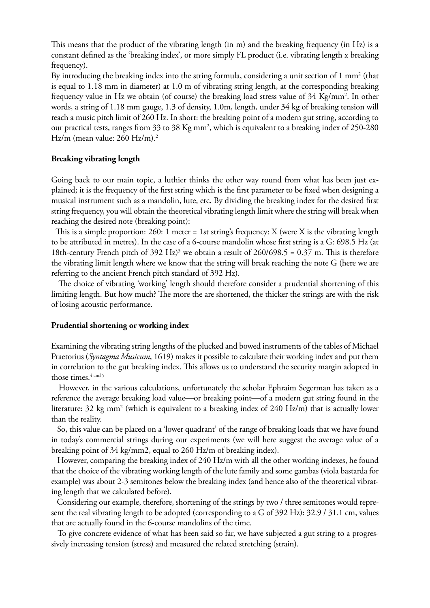This means that the product of the vibrating length (in m) and the breaking frequency (in Hz) is a constant defined as the 'breaking index', or more simply FL product (i.e. vibrating length x breaking frequency).

By introducing the breaking index into the string formula, considering a unit section of  $1 \text{ mm}^2$  (that is equal to 1.18 mm in diameter) at 1.0 m of vibrating string length, at the corresponding breaking frequency value in Hz we obtain (of course) the breaking load stress value of 34 Kg/mm<sup>2</sup>. In other words, a string of 1.18 mm gauge, 1.3 of density, 1.0m, length, under 34 kg of breaking tension will reach a music pitch limit of 260 Hz. In short: the breaking point of a modern gut string, according to our practical tests, ranges from 33 to 38 Kg mm<sup>2</sup>, which is equivalent to a breaking index of 250-280 Hz/m (mean value: 260 Hz/m).<sup>2</sup>

## **Breaking vibrating length**

Going back to our main topic, a luthier thinks the other way round from what has been just explained; it is the frequency of the first string which is the first parameter to be fixed when designing a musical instrument such as a mandolin, lute, etc. By dividing the breaking index for the desired first string frequency, you will obtain the theoretical vibrating length limit where the string will break when reaching the desired note (breaking point):

 This is a simple proportion: 260: 1 meter = 1st string's frequency: X (were X is the vibrating length to be attributed in metres). In the case of a 6-course mandolin whose first string is a G: 698.5 Hz (at 18th-century French pitch of 392 Hz)<sup>3</sup> we obtain a result of 260/698.5 = 0.37 m. This is therefore the vibrating limit length where we know that the string will break reaching the note G (here we are referring to the ancient French pitch standard of 392 Hz).

 The choice of vibrating 'working' length should therefore consider a prudential shortening of this limiting length. But how much? The more the are shortened, the thicker the strings are with the risk of losing acoustic performance.

#### **Prudential shortening or working index**

Examining the vibrating string lengths of the plucked and bowed instruments of the tables of Michael Praetorius (*Syntagma Musicum*, 1619) makes it possible to calculate their working index and put them in correlation to the gut breaking index. This allows us to understand the security margin adopted in those times.<sup>4 and 5</sup>

 However, in the various calculations, unfortunately the scholar Ephraim Segerman has taken as a reference the average breaking load value—or breaking point—of a modern gut string found in the literature: 32 kg mm<sup>2</sup> (which is equivalent to a breaking index of 240 Hz/m) that is actually lower than the reality.

 So, this value can be placed on a 'lower quadrant' of the range of breaking loads that we have found in today's commercial strings during our experiments (we will here suggest the average value of a breaking point of 34 kg/mm2, equal to 260 Hz/m of breaking index).

 However, comparing the breaking index of 240 Hz/m with all the other working indexes, he found that the choice of the vibrating working length of the lute family and some gambas (viola bastarda for example) was about 2-3 semitones below the breaking index (and hence also of the theoretical vibrating length that we calculated before).

 Considering our example, therefore, shortening of the strings by two / three semitones would represent the real vibrating length to be adopted (corresponding to a G of 392 Hz): 32.9 / 31.1 cm, values that are actually found in the 6-course mandolins of the time.

 To give concrete evidence of what has been said so far, we have subjected a gut string to a progressively increasing tension (stress) and measured the related stretching (strain).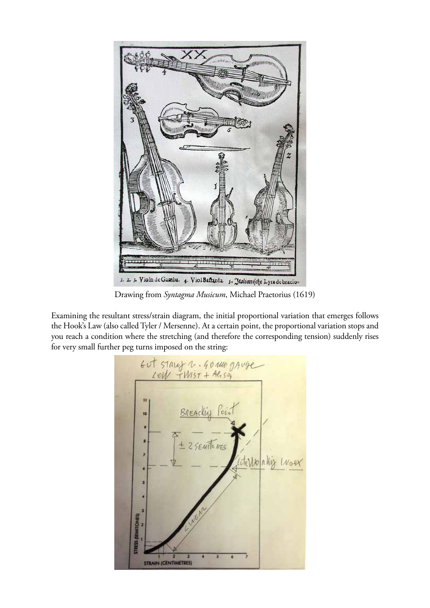

Drawing from *Syntagma Musicum*, Michael Praetorius (1619)

Examining the resultant stress/strain diagram, the initial proportional variation that emerges follows the Hook's Law (also called Tyler / Mersenne). At a certain point, the proportional variation stops and you reach a condition where the stretching (and therefore the corresponding tension) suddenly rises for very small further peg turns imposed on the string:

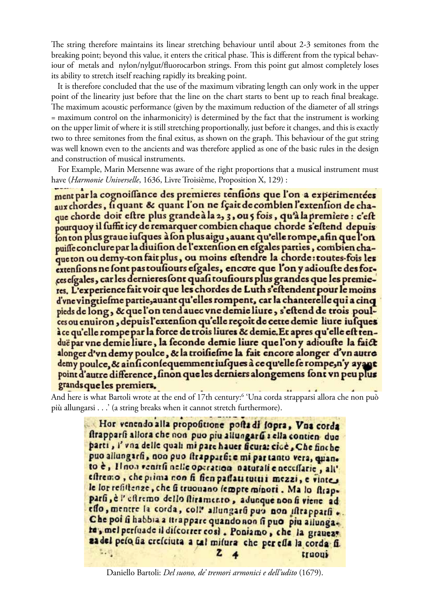The string therefore maintains its linear stretching behaviour until about 2-3 semitones from the breaking point; beyond this value, it enters the critical phase. This is different from the typical behaviour of metals and nylon/nylgut/fluorocarbon strings. From this point gut almost completely loses its ability to stretch itself reaching rapidly its breaking point.

 It is therefore concluded that the use of the maximum vibrating length can only work in the upper point of the linearity just before that the line on the chart starts to bent up to reach final breakage. The maximum acoustic performance (given by the maximum reduction of the diameter of all strings = maximum control on the inharmonicity) is determined by the fact that the instrument is working on the upper limit of where it is still stretching proportionally, just before it changes, and this is exactly two to three semitones from the final exitus, as shown on the graph. This behaviour of the gut string was well known even to the ancients and was therefore applied as one of the basic rules in the design and construction of musical instruments.

 For Example, Marin Mersenne was aware of the right proportions that a musical instrument must have (*Harmonie Universelle*, 1636, Livre Troisième, Proposition X, 129) :

ment par la cognoissance des premieres tensions que l'on a experimentées aux chordes, figuant & quant l'on ne fçait de combien l'extension de chaque chorde doit eftre plus grande à la 2, 3, ou 5 fois, qu'à la premiere : c'eft pourquoy il fuffit icy de remarquer combien chaque chorde s'eftend depuis fon ton plus graue infques à fon plus aigu, auant qu'elle rompe, afin que l'on puiffe conclure par la diuision de l'extension en esgales parties, combien chaque ton ou demy-ton fait plus, ou moins eftendre la chorde: toutes-fois les extensions ne font pas tousiours efgales, encore que l'on y adiouste des forces esgales, car les dernieres sont quasi tousiours plus grandes que les premieres. L'experience fait voir que les chordes de Luth s'eftendent pour le moins d'vne vingtiefme partie, auant qu'elles rompent, car la chanterelle qui a cinq pieds de long, & que l'on tend auec vne demie liure, s'eftend de trois poulces ou enuiron, depuis l'extension qu'elle reçoit de cette demie liure jusques à ce qu'elle rompe par la force de trois liures & demie. Et apres qu'elle est tenduë par vne demie liure, la feconde demie liure que l'on y adiouste la faict alonger d'vn demy poulce, & la troifiefme la fait encore alonger d'vn autre demy poulce, & ainficonfequemment jusques à ce qu'elle se rompe, n'y ayant point d'autre difference, finon que les derniers alongemens font vn peu plus grands que les premiers.  $\overline{a}$  $\overline{1}$ 

And here is what Bartoli wrote at the end of 17th century:6 'Una corda strapparsi allora che non può più allungarsi . . .' (a string breaks when it cannot stretch furthermore).

> Hor venendo alla propofitione pofta di fopra, Vna corda ftrapparfi allora che non puo piu allungarfi : ella contien due parti, i' vna delle quali mi pare hauer ficura: cicè, Che finche puo allungarfi, non puo firapparfice mi partanto vera, quanto è, Il non venitfi nelle operation naturali e neceffarie, all' effremo, che prima non fi fien paffati tutti i mezzi, e vintes le lor refiltenze, che fi truonano fempre minori. Ma lo ftrapparfi, è l'effremo dello fliramento, adunque non fi viene ad effo, mentre la corda, coll' allungarfi pun non iftrapparfi ... Che poi fi habbia a ttrappare quando non fi puo più allunga. te, mel persuade il discorrer così. Poniamo, che la graueas za del pelo fia crefciuta a tal mifura che per effa la corda fi. 取过 z truous

Daniello Bartoli: *Del suono, de' tremori armonici e dell'udito* (1679).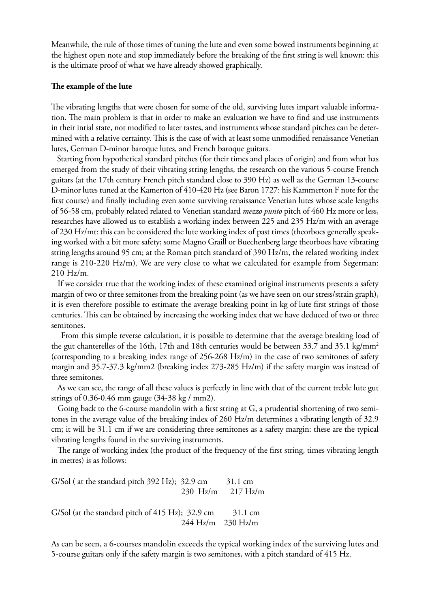Meanwhile, the rule of those times of tuning the lute and even some bowed instruments beginning at the highest open note and stop immediately before the breaking of the first string is well known: this is the ultimate proof of what we have already showed graphically.

#### **The example of the lute**

The vibrating lengths that were chosen for some of the old, surviving lutes impart valuable information. The main problem is that in order to make an evaluation we have to find and use instruments in their intial state, not modified to later tastes, and instruments whose standard pitches can be determined with a relative certainty. This is the case of with at least some unmodified renaissance Venetian lutes, German D-minor baroque lutes, and French baroque guitars.

 Starting from hypothetical standard pitches (for their times and places of origin) and from what has emerged from the study of their vibrating string lengths, the research on the various 5-course French guitars (at the 17th century French pitch standard close to 390 Hz) as well as the German 13-course D-minor lutes tuned at the Kamerton of 410-420 Hz (see Baron 1727: his Kammerton F note for the first course) and finally including even some surviving renaissance Venetian lutes whose scale lengths of 56-58 cm, probably related related to Venetian standard *mezzo punto* pitch of 460 Hz more or less, researches have allowed us to establish a working index between 225 and 235 Hz/m with an average of 230 Hz/mt: this can be considered the lute working index of past times (theorboes generally speaking worked with a bit more safety; some Magno Graill or Buechenberg large theorboes have vibrating string lengths around 95 cm; at the Roman pitch standard of 390 Hz/m, the related working index range is 210-220 Hz/m). We are very close to what we calculated for example from Segerman: 210 Hz/m.

 If we consider true that the working index of these examined original instruments presents a safety margin of two or three semitones from the breaking point (as we have seen on our stress/strain graph), it is even therefore possible to estimate the average breaking point in kg of lute first strings of those centuries. This can be obtained by increasing the working index that we have deduced of two or three semitones.

 From this simple reverse calculation, it is possible to determine that the average breaking load of the gut chanterelles of the 16th, 17th and 18th centuries would be between 33.7 and 35.1 kg/mm<sup>2</sup> (corresponding to a breaking index range of 256-268 Hz/m) in the case of two semitones of safety margin and 35.7-37.3 kg/mm2 (breaking index 273-285 Hz/m) if the safety margin was instead of three semitones.

 As we can see, the range of all these values is perfectly in line with that of the current treble lute gut strings of 0.36-0.46 mm gauge (34-38 kg / mm2).

 Going back to the 6-course mandolin with a first string at G, a prudential shortening of two semitones in the average value of the breaking index of 260 Hz/m determines a vibrating length of 32.9 cm; it will be 31.1 cm if we are considering three semitones as a safety margin: these are the typical vibrating lengths found in the surviving instruments.

 The range of working index (the product of the frequency of the first string, times vibrating length in metres) is as follows:

G/Sol ( at the standard pitch  $392$  Hz);  $32.9$  cm  $31.1$  cm 230 Hz/m 217 Hz/m G/Sol (at the standard pitch of  $415$  Hz); 32.9 cm 31.1 cm 244 Hz/m 230 Hz/m

As can be seen, a 6-courses mandolin exceeds the typical working index of the surviving lutes and 5-course guitars only if the safety margin is two semitones, with a pitch standard of 415 Hz.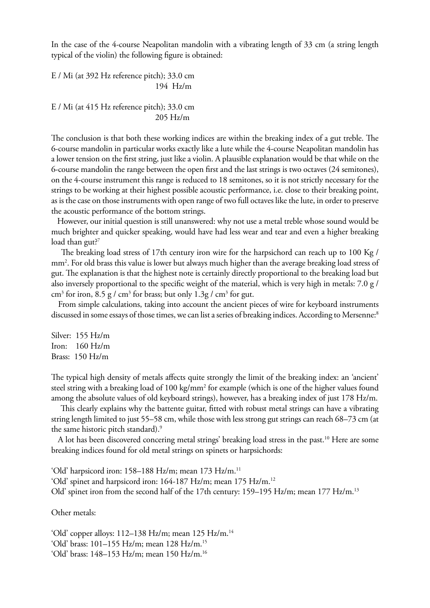In the case of the 4-course Neapolitan mandolin with a vibrating length of 33 cm (a string length typical of the violin) the following figure is obtained:

E / Mi (at 392 Hz reference pitch); 33.0 cm 194 Hz/m

E / Mi (at 415 Hz reference pitch); 33.0 cm 205 Hz/m

The conclusion is that both these working indices are within the breaking index of a gut treble. The 6-course mandolin in particular works exactly like a lute while the 4-course Neapolitan mandolin has a lower tension on the first string, just like a violin. A plausible explanation would be that while on the 6-course mandolin the range between the open first and the last strings is two octaves (24 semitones), on the 4-course instrument this range is reduced to 18 semitones, so it is not strictly necessary for the strings to be working at their highest possible acoustic performance, i.e. close to their breaking point, as is the case on those instruments with open range of two full octaves like the lute, in order to preserve the acoustic performance of the bottom strings.

 However, our initial question is still unanswered: why not use a metal treble whose sound would be much brighter and quicker speaking, would have had less wear and tear and even a higher breaking load than gut? $7$ 

 The breaking load stress of 17th century iron wire for the harpsichord can reach up to 100 Kg / mm2 . For old brass this value is lower but always much higher than the average breaking load stress of gut. The explanation is that the highest note is certainly directly proportional to the breaking load but also inversely proportional to the specific weight of the material, which is very high in metals: 7.0 g / cm<sup>3</sup> for iron, 8.5 g / cm<sup>3</sup> for brass; but only 1.3g / cm<sup>3</sup> for gut.

 From simple calculations, taking into account the ancient pieces of wire for keyboard instruments discussed in some essays of those times, we can list a series of breaking indices. According to Mersenne:<sup>8</sup>

Silver: 155 Hz/m Iron: 160 Hz/m Brass: 150 Hz/m

The typical high density of metals affects quite strongly the limit of the breaking index: an 'ancient' steel string with a breaking load of 100 kg/mm<sup>2</sup> for example (which is one of the higher values found among the absolute values of old keyboard strings), however, has a breaking index of just 178 Hz/m.

 This clearly explains why the battente guitar, fitted with robust metal strings can have a vibrating string length limited to just 55–58 cm, while those with less strong gut strings can reach 68–73 cm (at the same historic pitch standard).<sup>9</sup>

 A lot has been discovered concering metal strings' breaking load stress in the past.10 Here are some breaking indices found for old metal strings on spinets or harpsichords:

'Old' harpsicord iron: 158-188 Hz/m; mean 173 Hz/m.<sup>11</sup> 'Old' spinet and harpsicord iron: 164-187 Hz/m; mean 175 Hz/m.<sup>12</sup> Old' spinet iron from the second half of the 17th century: 159–195 Hz/m; mean 177 Hz/m.13

Other metals:

'Old' copper alloys:  $112-138$  Hz/m; mean  $125$  Hz/m.<sup>14</sup> 'Old' brass: 101–155 Hz/m; mean 128 Hz/m.15 'Old' brass: 148–153 Hz/m; mean 150 Hz/m.16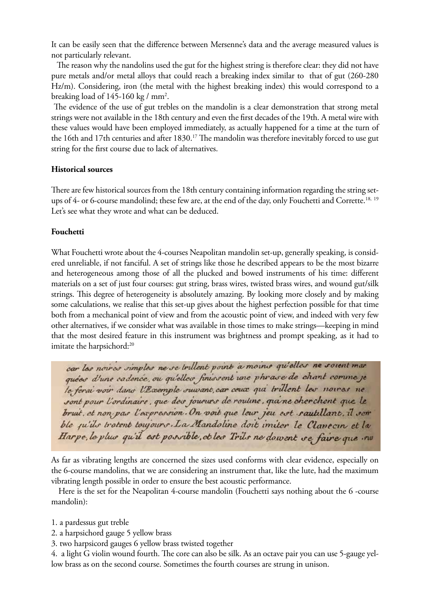It can be easily seen that the difference between Mersenne's data and the average measured values is not particularly relevant.

 The reason why the nandolins used the gut for the highest string is therefore clear: they did not have pure metals and/or metal alloys that could reach a breaking index similar to that of gut (260-280 Hz/m). Considering, iron (the metal with the highest breaking index) this would correspond to a breaking load of 145-160 kg / mm<sup>2</sup>.

 The evidence of the use of gut trebles on the mandolin is a clear demonstration that strong metal strings were not available in the 18th century and even the first decades of the 19th. A metal wire with these values would have been employed immediately, as actually happened for a time at the turn of the 16th and 17th centuries and after 1830.<sup>17</sup> The mandolin was therefore inevitably forced to use gut string for the first course due to lack of alternatives.

## **Historical sources**

There are few historical sources from the 18th century containing information regarding the string setups of 4- or 6-course mandolind; these few are, at the end of the day, only Fouchetti and Corrette.<sup>18, 19</sup> Let's see what they wrote and what can be deduced.

## **Fouchetti**

What Fouchetti wrote about the 4-courses Neapolitan mandolin set-up, generally speaking, is considered unreliable, if not fanciful. A set of strings like those he described appears to be the most bizarre and heterogeneous among those of all the plucked and bowed instruments of his time: different materials on a set of just four courses: gut string, brass wires, twisted brass wires, and wound gut/silk strings. This degree of heterogeneity is absolutely amazing. By looking more closely and by making some calculations, we realise that this set-up gives about the highest perfection possible for that time both from a mechanical point of view and from the acoustic point of view, and indeed with very few other alternatives, if we consider what was available in those times to make strings—keeping in mind that the most desired feature in this instrument was brightness and prompt speaking, as it had to imitate the harpsichord:<sup>20</sup>

car las noiras simples ne se trillent point a moins qu'elles ne soient mar quées d'une cadence, ou qu'elles finissent une phrase de chant comme je le ferai voir dans l'Exemple suwant, car ceux qui trillent les noures ne sont pour l'ordinaire, que des journes de routine, qui ne cherchent que le bruit, et non par l'expression. On voit que leur jeu est rautillant, il sem ble pu'ils trotent toujours. La Mandoline doit imiter le Clancoin et la Harpe, le plus qu'il est possible, et les Trils ne dowent se faire que mo

As far as vibrating lengths are concerned the sizes used conforms with clear evidence, especially on the 6-course mandolins, that we are considering an instrument that, like the lute, had the maximum vibrating length possible in order to ensure the best acoustic performance.

 Here is the set for the Neapolitan 4-course mandolin (Fouchetti says nothing about the 6 -course mandolin):

- 1. a pardessus gut treble
- 2. a harpsichord gauge 5 yellow brass
- 3. two harpsicord gauges 6 yellow brass twisted together

4. a light G violin wound fourth. The core can also be silk. As an octave pair you can use 5-gauge yellow brass as on the second course. Sometimes the fourth courses are strung in unison.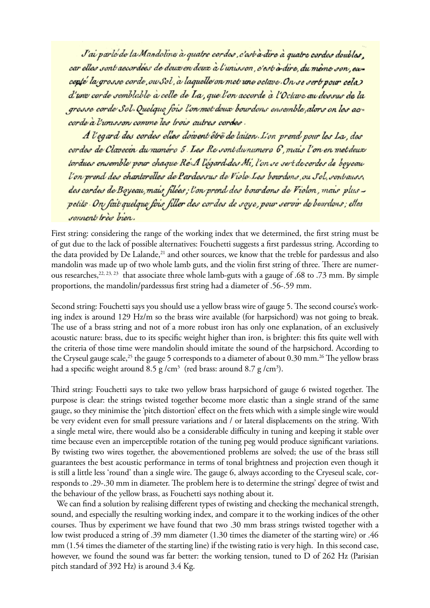J'ai parlé de la Mandoline à quatre cordes, c'est à dire à quatre cordes doubles. car elles sont aecordées de deux en deux à l'unisson, c'est à dire, du même son, excepté la grosse corde, ou Sol, à laquelle on met une octave. On se sert pour cela d'une corde semblable à celle de La, que l'on accorde à l'Octave au dessus de la grosse corde Sol. Quelque fois l'on met deux bourdons ensemble, alors on les accorde à l'unisson comme les trois autres cordes.

A l'egard des cordes elles doivent être de laiton. L'on prend pour les La, des cordes de Clavecin du naméro 5. Les Re sont du numero 6, mais l'on en met deux tordues ensemble pour chaque Re'A l'egard des Mi, l'on se sert de cordes de boyeau l'on prend des chanterelles de Pardessus de Viole Les bourdons, ou Sol, sonbauss, des cordes de Boyeau, mais, filées; l'on prend des bourdons de Violon, mais plus petits On fait quelque fois filler des cordes de soye, pour servir de bourdons; elles sonnent très bien.

First string: considering the range of the working index that we determined, the first string must be of gut due to the lack of possible alternatives: Fouchetti suggests a first pardessus string. According to the data provided by De Lalande,<sup>21</sup> and other sources, we know that the treble for pardessus and also mandolin was made up of two whole lamb guts, and the violin first string of three. There are numerous researches,<sup>22, 23, 23</sup> that associate three whole lamb-guts with a gauge of .68 to .73 mm. By simple proportions, the mandolin/pardesssus first string had a diameter of .56-.59 mm.

Second string: Fouchetti says you should use a yellow brass wire of gauge 5. The second course's working index is around 129 Hz/m so the brass wire available (for harpsichord) was not going to break. The use of a brass string and not of a more robust iron has only one explanation, of an exclusively acoustic nature: brass, due to its specific weight higher than iron, is brighter: this fits quite well with the criteria of those time were mandolin should imitate the sound of the harpsichord. According to the Cryseul gauge scale,<sup>25</sup> the gauge 5 corresponds to a diameter of about 0.30 mm.<sup>26</sup> The yellow brass had a specific weight around 8.5 g /cm $^3\,$  (red brass: around 8.7 g /cm $^3$ ).

Third string: Fouchetti says to take two yellow brass harpsichord of gauge 6 twisted together. The purpose is clear: the strings twisted together become more elastic than a single strand of the same gauge, so they minimise the 'pitch distortion' effect on the frets which with a simple single wire would be very evident even for small pressure variations and / or lateral displacements on the string. With a single metal wire, there would also be a considerable difficulty in tuning and keeping it stable over time because even an imperceptible rotation of the tuning peg would produce significant variations. By twisting two wires together, the abovementioned problems are solved; the use of the brass still guarantees the best acoustic performance in terms of tonal brightness and projection even though it is still a little less 'round' than a single wire. The gauge 6, always according to the Cryeseul scale, corresponds to .29-.30 mm in diameter. The problem here is to determine the strings' degree of twist and the behaviour of the yellow brass, as Fouchetti says nothing about it.

We can find a solution by realising different types of twisting and checking the mechanical strength, sound, and especially the resulting working index, and compare it to the working indices of the other courses. Thus by experiment we have found that two .30 mm brass strings twisted together with a low twist produced a string of .39 mm diameter (1.30 times the diameter of the starting wire) or .46 mm (1.54 times the diameter of the starting line) if the twisting ratio is very high. In this second case, however, we found the sound was far better: the working tension, tuned to D of 262 Hz (Parisian pitch standard of 392 Hz) is around 3.4 Kg.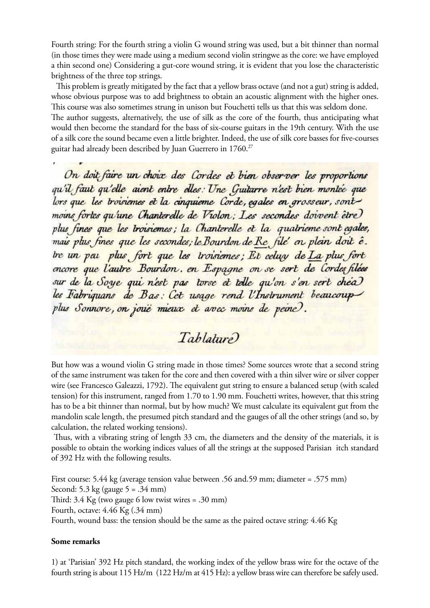Fourth string: For the fourth string a violin G wound string was used, but a bit thinner than normal (in those times they were made using a medium second violin stringwe as the core: we have employed a thin second one) Considering a gut-core wound string, it is evident that you lose the characteristic brightness of the three top strings.

 This problem is greatly mitigated by the fact that a yellow brass octave (and not a gut) string is added, whose obvious purpose was to add brightness to obtain an acoustic alignment with the higher ones. This course was also sometimes strung in unison but Fouchetti tells us that this was seldom done. The author suggests, alternatively, the use of silk as the core of the fourth, thus anticipating what would then become the standard for the bass of six-course guitars in the 19th century. With the use of a silk core the sound became even a little brighter. Indeed, the use of silk core basses for five-courses guitar had already been described by Juan Guerrero in 1760.27

On doit faire un choix des Cordes et bien observer les proportions qu'il faut qu'elle aient entre elles: Une Guitarre n'est bien montée que lors que les troisiemes et la cinquieme Corde, egales en grosseur, sont moins fortes qu'une Chanterelle de Violon; Les secondes doivent être plus fines que les troisiemes; la Chanterelle et la quatrieme sont egales, mais plus fines que les secondes; le Bourdon de Re file en plein doit é. tre un peu plus fort que les troisiemes; Et celuy de La plus fort encore que l'autre Bourdon. en Espagne on se sert de Cordes filées sur de la Soye qui n'est pas torse et telle qu'on s'en sert chea les Fabriquans de Bas: Cet usage rend l'Instrument beaucoup plus Sonnore, on joue mieux et avec moins de peine.

# Tablature)

But how was a wound violin G string made in those times? Some sources wrote that a second string of the same instrument was taken for the core and then covered with a thin silver wire or silver copper wire (see Francesco Galeazzi, 1792). The equivalent gut string to ensure a balanced setup (with scaled tension) for this instrument, ranged from 1.70 to 1.90 mm. Fouchetti writes, however, that this string has to be a bit thinner than normal, but by how much? We must calculate its equivalent gut from the mandolin scale length, the presumed pitch standard and the gauges of all the other strings (and so, by calculation, the related working tensions).

 Thus, with a vibrating string of length 33 cm, the diameters and the density of the materials, it is possible to obtain the working indices values of all the strings at the supposed Parisian itch standard of 392 Hz with the following results.

First course: 5.44 kg (average tension value between .56 and.59 mm; diameter = .575 mm) Second: 5.3 kg (gauge 5 = .34 mm) Third: 3.4 Kg (two gauge 6 low twist wires = .30 mm) Fourth, octave: 4.46 Kg (.34 mm) Fourth, wound bass: the tension should be the same as the paired octave string: 4.46 Kg

#### **Some remarks**

1) at 'Parisian' 392 Hz pitch standard, the working index of the yellow brass wire for the octave of the fourth string is about 115 Hz/m (122 Hz/m at 415 Hz): a yellow brass wire can therefore be safely used.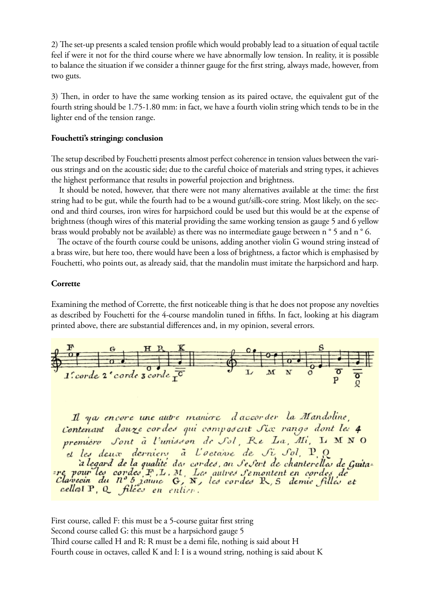2) The set-up presents a scaled tension profile which would probably lead to a situation of equal tactile feel if were it not for the third course where we have abnormally low tension. In reality, it is possible to balance the situation if we consider a thinner gauge for the first string, always made, however, from two guts.

3) Then, in order to have the same working tension as its paired octave, the equivalent gut of the fourth string should be 1.75-1.80 mm: in fact, we have a fourth violin string which tends to be in the lighter end of the tension range.

## **Fouchetti's stringing: conclusion**

The setup described by Fouchetti presents almost perfect coherence in tension values between the various strings and on the acoustic side; due to the careful choice of materials and string types, it achieves the highest performance that results in powerful projection and brightness.

 It should be noted, however, that there were not many alternatives available at the time: the first string had to be gut, while the fourth had to be a wound gut/silk-core string. Most likely, on the second and third courses, iron wires for harpsichord could be used but this would be at the expense of brightness (though wires of this material providing the same working tension as gauge 5 and 6 yellow brass would probably not be available) as there was no intermediate gauge between n ° 5 and n ° 6.

 The octave of the fourth course could be unisons, adding another violin G wound string instead of a brass wire, but here too, there would have been a loss of brightness, a factor which is emphasised by Fouchetti, who points out, as already said, that the mandolin must imitate the harpsichord and harp.

#### **Corrette**

Examining the method of Corrette, the first noticeable thing is that he does not propose any novelties as described by Fouchetti for the 4-course mandolin tuned in fifths. In fact, looking at his diagram printed above, there are substantial differences and, in my opinion, several errors.



Il ya encore une autre maniere d'accorder la Mandoline, Contenant douze cordes qui composent Six rangs dont les 4 première Sont à l'unisson de Sol, Re La, Mi, L MNO et les deux derniers à l'octaire de Si Sol, P.Q. et les neurs lierniers a Coeuvre de Spront, pour la Gaita-<br>a legard de la qualité des cordes, an Se Sert de chanterelles de Gaita-<br>pour les cordes F, L, M, Les autres Semontent en cordes de<br>Clavecin du n° 5 janve G, N, les

First course, called F: this must be a 5-course guitar first string Second course called G: this must be a harpsichord gauge 5 Third course called H and R: R must be a demi file, nothing is said about H Fourth couse in octaves, called K and I: I is a wound string, nothing is said about K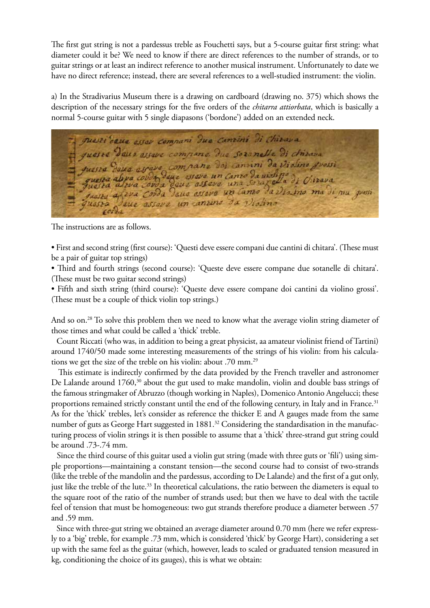The first gut string is not a pardessus treble as Fouchetti says, but a 5-course guitar first string: what diameter could it be? We need to know if there are direct references to the number of strands, or to guitar strings or at least an indirect reference to another musical instrument. Unfortunately to date we have no direct reference; instead, there are several references to a well-studied instrument: the violin.

a) In the Stradivarius Museum there is a drawing on cardboard (drawing no. 375) which shows the description of the necessary strings for the five orders of the *chitarra attiorbata*, which is basically a normal 5-course guitar with 5 single diapasons ('bordone') added on an extended neck.

puesti deux assar compani dua cantini di chivara queste dans estave compane. Que soronelle di chirava guesta duna asrava compaña doi canvini da Violini grossi<br>guesta abya covda dune ustava un canto da violine di Citzava<br>guesta altva covda deux asteva una Sourgela di Citzava ta de 24a Corda deus essere un canto da 2<br>ta deus essere un cantino da Violino<br>Corda quasta

The instructions are as follows.

• First and second string (first course): 'Questi deve essere compani due cantini di chitara'. (These must be a pair of guitar top strings)

• Third and fourth strings (second course): 'Queste deve essere compane due sotanelle di chitara'. (These must be two guitar second strings)

• Fifth and sixth string (third course): 'Queste deve essere compane doi cantini da violino grossi'. (These must be a couple of thick violin top strings.)

And so on.<sup>28</sup> To solve this problem then we need to know what the average violin string diameter of those times and what could be called a 'thick' treble.

 Count Riccati (who was, in addition to being a great physicist, aa amateur violinist friend of Tartini) around 1740/50 made some interesting measurements of the strings of his violin: from his calculations we get the size of the treble on his violin: about .70 mm.29

 This estimate is indirectly confirmed by the data provided by the French traveller and astronomer De Lalande around 1760,<sup>30</sup> about the gut used to make mandolin, violin and double bass strings of the famous stringmaker of Abruzzo (though working in Naples), Domenico Antonio Angelucci; these proportions remained strictly constant until the end of the following century, in Italy and in France.<sup>31</sup> As for the 'thick' trebles, let's consider as reference the thicker E and A gauges made from the same number of guts as George Hart suggested in 1881.<sup>32</sup> Considering the standardisation in the manufacturing process of violin strings it is then possible to assume that a 'thick' three-strand gut string could be around .73-.74 mm.

 Since the third course of this guitar used a violin gut string (made with three guts or 'fili') using simple proportions—maintaining a constant tension—the second course had to consist of two-strands (like the treble of the mandolin and the pardessus, according to De Lalande) and the first of a gut only, just like the treble of the lute.<sup>33</sup> In theoretical calculations, the ratio between the diameters is equal to the square root of the ratio of the number of strands used; but then we have to deal with the tactile feel of tension that must be homogeneous: two gut strands therefore produce a diameter between .57 and .59 mm.

 Since with three-gut string we obtained an average diameter around 0.70 mm (here we refer expressly to a 'big' treble, for example .73 mm, which is considered 'thick' by George Hart), considering a set up with the same feel as the guitar (which, however, leads to scaled or graduated tension measured in kg, conditioning the choice of its gauges), this is what we obtain: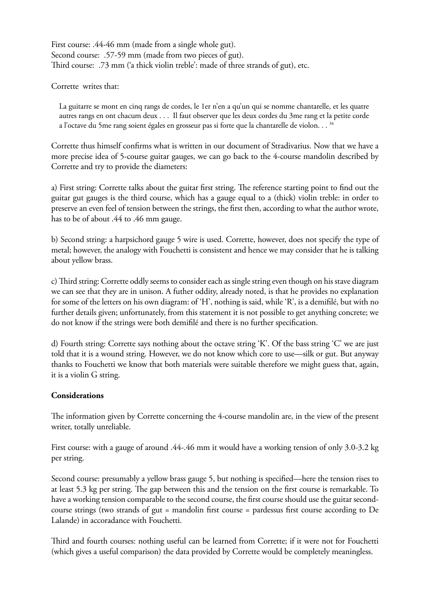First course: .44-46 mm (made from a single whole gut). Second course: .57-59 mm (made from two pieces of gut). Third course: .73 mm ('a thick violin treble': made of three strands of gut), etc.

Corrette writes that:

La guitarre se mont en cinq rangs de cordes, le 1er n'en a qu'un qui se nomme chantarelle, et les quatre autres rangs en ont chacum deux . . . Il faut observer que les deux cordes du 3me rang et la petite corde a l'octave du 5me rang soient égales en grosseur pas si forte que la chantarelle de violon. . . 34

Corrette thus himself confirms what is written in our document of Stradivarius. Now that we have a more precise idea of 5-course guitar gauges, we can go back to the 4-course mandolin described by Corrette and try to provide the diameters:

a) First string: Corrette talks about the guitar first string. The reference starting point to find out the guitar gut gauges is the third course, which has a gauge equal to a (thick) violin treble: in order to preserve an even feel of tension between the strings, the first then, according to what the author wrote, has to be of about .44 to .46 mm gauge.

b) Second string: a harpsichord gauge 5 wire is used. Corrette, however, does not specify the type of metal; however, the analogy with Fouchetti is consistent and hence we may consider that he is talking about yellow brass.

c) Third string: Corrette oddly seems to consider each as single string even though on his stave diagram we can see that they are in unison. A futher oddity, already noted, is that he provides no explanation for some of the letters on his own diagram: of 'H', nothing is said, while 'R', is a demifilé, but with no further details given; unfortunately, from this statement it is not possible to get anything concrete; we do not know if the strings were both demifilé and there is no further specification.

d) Fourth string: Corrette says nothing about the octave string 'K'. Of the bass string 'C' we are just told that it is a wound string. However, we do not know which core to use—silk or gut. But anyway thanks to Fouchetti we know that both materials were suitable therefore we might guess that, again, it is a violin G string.

# **Considerations**

The information given by Corrette concerning the 4-course mandolin are, in the view of the present writer, totally unreliable.

First course: with a gauge of around .44-.46 mm it would have a working tension of only 3.0-3.2 kg per string.

Second course: presumably a yellow brass gauge 5, but nothing is specified—here the tension rises to at least 5.3 kg per string. The gap between this and the tension on the first course is remarkable. To have a working tension comparable to the second course, the first course should use the guitar secondcourse strings (two strands of gut = mandolin first course = pardessus first course according to De Lalande) in accoradance with Fouchetti.

Third and fourth courses: nothing useful can be learned from Corrette; if it were not for Fouchetti (which gives a useful comparison) the data provided by Corrette would be completely meaningless.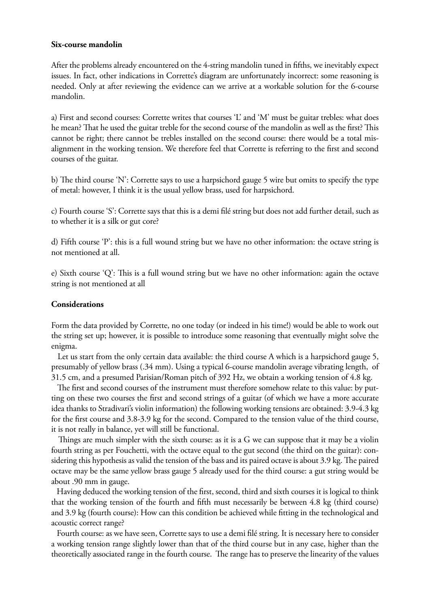### **Six-course mandolin**

After the problems already encountered on the 4-string mandolin tuned in fifths, we inevitably expect issues. In fact, other indications in Corrette's diagram are unfortunately incorrect: some reasoning is needed. Only at after reviewing the evidence can we arrive at a workable solution for the 6-course mandolin.

a) First and second courses: Corrette writes that courses 'L' and 'M' must be guitar trebles: what does he mean? That he used the guitar treble for the second course of the mandolin as well as the first? This cannot be right; there cannot be trebles installed on the second course: there would be a total misalignment in the working tension. We therefore feel that Corrette is referring to the first and second courses of the guitar.

b) The third course 'N': Corrette says to use a harpsichord gauge 5 wire but omits to specify the type of metal: however, I think it is the usual yellow brass, used for harpsichord.

c) Fourth course 'S': Corrette says that this is a demi filé string but does not add further detail, such as to whether it is a silk or gut core?

d) Fifth course 'P': this is a full wound string but we have no other information: the octave string is not mentioned at all.

e) Sixth course 'Q': This is a full wound string but we have no other information: again the octave string is not mentioned at all

## **Considerations**

Form the data provided by Corrette, no one today (or indeed in his time!) would be able to work out the string set up; however, it is possible to introduce some reasoning that eventually might solve the enigma.

 Let us start from the only certain data available: the third course A which is a harpsichord gauge 5, presumably of yellow brass (.34 mm). Using a typical 6-course mandolin average vibrating length, of 31.5 cm, and a presumed Parisian/Roman pitch of 392 Hz, we obtain a working tension of 4.8 kg.

 The first and second courses of the instrument must therefore somehow relate to this value: by putting on these two courses the first and second strings of a guitar (of which we have a more accurate idea thanks to Stradivari's violin information) the following working tensions are obtained: 3.9-4.3 kg for the first course and 3.8-3.9 kg for the second. Compared to the tension value of the third course, it is not really in balance, yet will still be functional.

 Things are much simpler with the sixth course: as it is a G we can suppose that it may be a violin fourth string as per Fouchetti, with the octave equal to the gut second (the third on the guitar): considering this hypothesis as valid the tension of the bass and its paired octave is about 3.9 kg. The paired octave may be the same yellow brass gauge 5 already used for the third course: a gut string would be about .90 mm in gauge.

 Having deduced the working tension of the first, second, third and sixth courses it is logical to think that the working tension of the fourth and fifth must necessarily be between 4.8 kg (third course) and 3.9 kg (fourth course): How can this condition be achieved while fitting in the technological and acoustic correct range?

 Fourth course: as we have seen, Corrette says to use a demi filé string. It is necessary here to consider a working tension range slightly lower than that of the third course but in any case, higher than the theoretically associated range in the fourth course. The range has to preserve the linearity of the values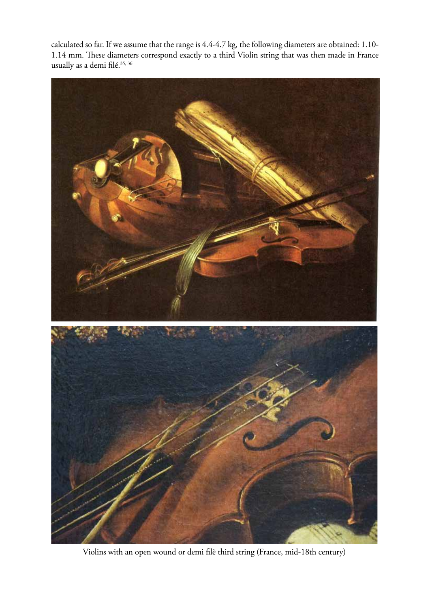calculated so far. If we assume that the range is 4.4-4.7 kg, the following diameters are obtained: 1.10- 1.14 mm. These diameters correspond exactly to a third Violin string that was then made in France usually as a demi $\rm{file.}^{35,\,36}$ 



Violins with an open wound or demi filè third string (France, mid-18th century)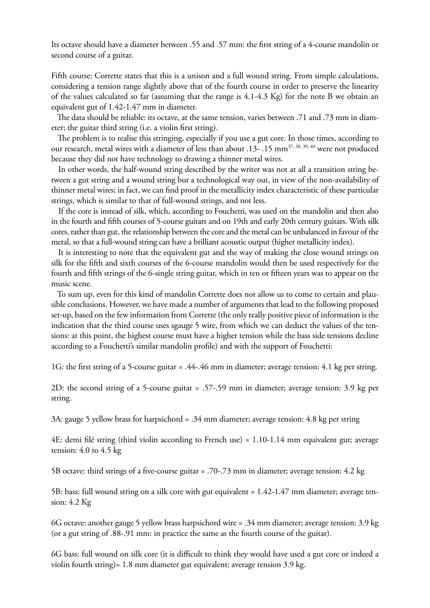Its octave should have a diameter between .55 and .57 mm: the first string of a 4-course mandolin or second course of a guitar.

Fifth course: Corrette states that this is a unison and a full wound string. From simple calculations, considering a tension range slightly above that of the fourth course in order to preserve the linearity of the values calculated so far (assuming that the range is 4.1-4.3 Kg) for the note B we obtain an equivalent gut of 1.42-1.47 mm in diameter.

 The data should be reliable: its octave, at the same tension, varies between .71 and .73 mm in diameter; the guitar third string (i.e. a violin first string).

 The problem is to realise this stringing, especially if you use a gut core. In those times, according to our research, metal wires with a diameter of less than about .13- .15 mm<sup>37, 38, 39, 40</sup> were not produced because they did not have technology to drawing a thinner metal wires.

 In other words, the half-wound string described by the writer was not at all a transition string between a gut string and a wound string but a technological way out, in view of the non-availability of thinner metal wires; in fact, we can find proof in the metallicity index characteristic of these particular strings, which is similar to that of full-wound strings, and not less.

 If the core is instead of silk, which, according to Fouchetti, was used on the mandolin and then also in the fourth and fifth courses of 5-course guitars and on 19th and early 20th century guitars. With silk cores, rather than gut, the relationship between the core and the metal can be unbalanced in favour of the metal, so that a full-wound string can have a brilliant acoustic output (higher metallicity index).

 It is interesting to note that the equivalent gut and the way of making the close wound strings on silk for the fifth and sixth courses of the 6-course mandolin would then be used respectively for the fourth and fifth strings of the 6-single string guitar, which in ten or fifteen years was to appear on the music scene.

 To sum up, even for this kind of mandolin Corrette does not allow us to come to certain and plausible conclusions. However, we have made a number of arguments that lead to the following proposed set-up, based on the few information from Corrette (the only really positive piece of information is the indication that the third course uses sgauge 5 wire, from which we can deduct the values of the tensions: at this point, the highest course must have a higher tension while the bass side tensions decline according to a Fouchetti's similar mandolin profile) and with the support of Fouchetti:

1G: the first string of a 5-course guitar = .44-.46 mm in diameter; average tension: 4.1 kg per string.

2D: the second string of a 5-course guitar = .57-.59 mm in diameter; average tension: 3.9 kg per string.

3A: gauge 5 yellow brass for harpsichord = .34 mm diameter; average tension: 4.8 kg per string

4E: demi filé string (third violin according to French use) = 1.10-1.14 mm equivalent gut; average tension: 4.0 to 4.5 kg

5B octave: third strings of a five-course guitar = .70-.73 mm in diameter; average tension: 4.2 kg

5B: bass: full wound string on a silk core with gut equivalent = 1.42-1.47 mm diameter; average tension: 4.2 Kg

6G octave: another gauge 5 yellow brass harpsichord wire = .34 mm diameter; average tension: 3.9 kg (or a gut string of .88-.91 mm: in practice the same as the fourth course of the guitar).

6G bass: full wound on silk core (it is difficult to think they would have used a gut core or indeed a violin fourth string)= 1.8 mm diameter gut equivalent; average tension 3.9 kg.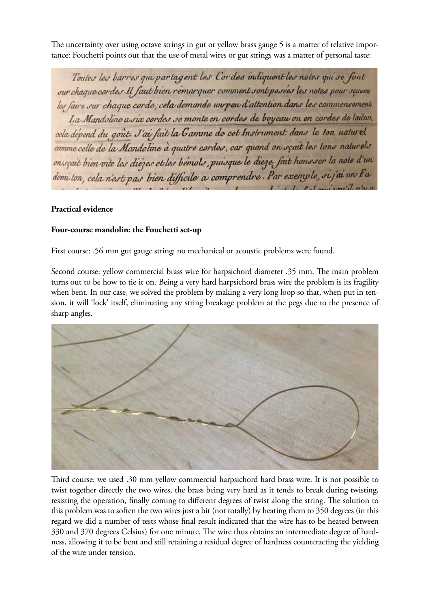The uncertainty over using octave strings in gut or yellow brass gauge 5 is a matter of relative importance: Fouchetti points out that the use of metal wires or gut strings was a matter of personal taste:

Toutes les barres qui partagent les Cordes indiquent les notes qui se font sur chaque cordes. Il faut bien remarquer comment sont posees les notes pour seavou les faire sur chaque corde; cela demande un peu d'attention dans les commoncements La Mandoline a via cordes se monte en cordes de boyeau ou en cordes de laiton. cela dépend du gout. J'ai fait la Gamme de cet Instrument dans le ton naturel comme celle de la Mandoline à quatre cordes, car quand on scait les tons naturels onscait bien vite les diézes et les bémols, puisque le dieze fait hausser la note d'un demi ton, cela n'est pas bien difficile a comprendre. Par exemple, si j'ai un Fa

# **Practical evidence**

## **Four-course mandolin: the Fouchetti set-up**

First course: .56 mm gut gauge string: no mechanical or acoustic problems were found.

Second course: yellow commercial brass wire for harpsichord diameter .35 mm. The main problem turns out to be how to tie it on. Being a very hard harpsichord brass wire the problem is its fragility when bent. In our case, we solved the problem by making a very long loop so that, when put in tension, it will 'lock' itself, eliminating any string breakage problem at the pegs due to the presence of sharp angles.



Third course: we used .30 mm yellow commercial harpsichord hard brass wire. It is not possible to twist together directly the two wires, the brass being very hard as it tends to break during twisting, resisting the operation, finally coming to different degrees of twist along the string. The solution to this problem was to soften the two wires just a bit (not totally) by heating them to 350 degrees (in this regard we did a number of tests whose final result indicated that the wire has to be heated between 330 and 370 degrees Celsius) for one minute. The wire thus obtains an intermediate degree of hardness, allowing it to be bent and still retaining a residual degree of hardness counteracting the yielding of the wire under tension.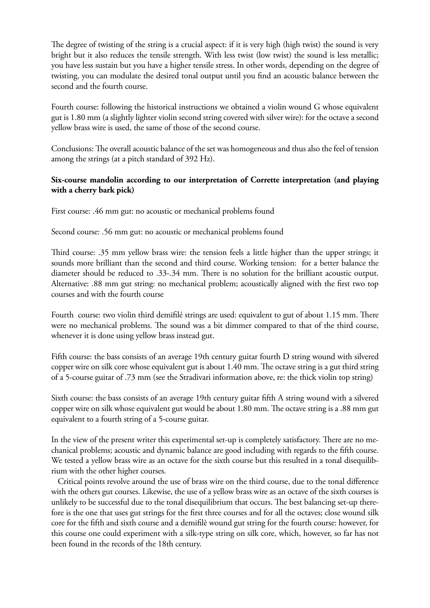The degree of twisting of the string is a crucial aspect: if it is very high (high twist) the sound is very bright but it also reduces the tensile strength. With less twist (low twist) the sound is less metallic; you have less sustain but you have a higher tensile stress. In other words, depending on the degree of twisting, you can modulate the desired tonal output until you find an acoustic balance between the second and the fourth course.

Fourth course: following the historical instructions we obtained a violin wound G whose equivalent gut is 1.80 mm (a slightly lighter violin second string covered with silver wire): for the octave a second yellow brass wire is used, the same of those of the second course.

Conclusions: The overall acoustic balance of the set was homogeneous and thus also the feel of tension among the strings (at a pitch standard of 392 Hz).

# **Six-course mandolin according to our interpretation of Corrette interpretation (and playing with a cherry bark pick)**

First course: .46 mm gut: no acoustic or mechanical problems found

Second course: .56 mm gut: no acoustic or mechanical problems found

Third course: .35 mm yellow brass wire: the tension feels a little higher than the upper strings; it sounds more brilliant than the second and third course. Working tension: for a better balance the diameter should be reduced to .33-.34 mm. There is no solution for the brilliant acoustic output. Alternative: .88 mm gut string: no mechanical problem; acoustically aligned with the first two top courses and with the fourth course

Fourth course: two violin third demifilé strings are used: equivalent to gut of about 1.15 mm. There were no mechanical problems. The sound was a bit dimmer compared to that of the third course, whenever it is done using yellow brass instead gut.

Fifth course: the bass consists of an average 19th century guitar fourth D string wound with silvered copper wire on silk core whose equivalent gut is about 1.40 mm. The octave string is a gut third string of a 5-course guitar of .73 mm (see the Stradivari information above, re: the thick violin top string)

Sixth course: the bass consists of an average 19th century guitar fifth A string wound with a silvered copper wire on silk whose equivalent gut would be about 1.80 mm. The octave string is a .88 mm gut equivalent to a fourth string of a 5-course guitar.

In the view of the present writer this experimental set-up is completely satisfactory. There are no mechanical problems; acoustic and dynamic balance are good including with regards to the fifth course. We tested a yellow brass wire as an octave for the sixth course but this resulted in a tonal disequilibrium with the other higher courses.

 Critical points revolve around the use of brass wire on the third course, due to the tonal difference with the others gut courses. Likewise, the use of a yellow brass wire as an octave of the sixth courses is unlikely to be successful due to the tonal disequilibrium that occurs. The best balancing set-up therefore is the one that uses gut strings for the first three courses and for all the octaves; close wound silk core for the fifth and sixth course and a demifilè wound gut string for the fourth course: however, for this course one could experiment with a silk-type string on silk core, which, however, so far has not been found in the records of the 18th century.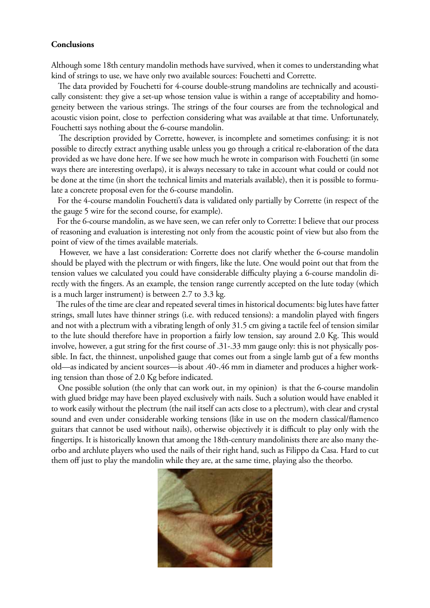## **Conclusions**

Although some 18th century mandolin methods have survived, when it comes to understanding what kind of strings to use, we have only two available sources: Fouchetti and Corrette.

 The data provided by Fouchetti for 4-course double-strung mandolins are technically and acoustically consistent: they give a set-up whose tension value is within a range of acceptability and homogeneity between the various strings. The strings of the four courses are from the technological and acoustic vision point, close to perfection considering what was available at that time. Unfortunately, Fouchetti says nothing about the 6-course mandolin.

 The description provided by Corrette, however, is incomplete and sometimes confusing: it is not possible to directly extract anything usable unless you go through a critical re-elaboration of the data provided as we have done here. If we see how much he wrote in comparison with Fouchetti (in some ways there are interesting overlaps), it is always necessary to take in account what could or could not be done at the time (in short the technical limits and materials available), then it is possible to formulate a concrete proposal even for the 6-course mandolin.

 For the 4-course mandolin Fouchetti's data is validated only partially by Corrette (in respect of the the gauge 5 wire for the second course, for example).

 For the 6-course mandolin, as we have seen, we can refer only to Corrette: I believe that our process of reasoning and evaluation is interesting not only from the acoustic point of view but also from the point of view of the times available materials.

 However, we have a last consideration: Corrette does not clarify whether the 6-course mandolin should be played with the plectrum or with fingers, like the lute. One would point out that from the tension values we calculated you could have considerable difficulty playing a 6-course mandolin directly with the fingers. As an example, the tension range currently accepted on the lute today (which is a much larger instrument) is between 2.7 to 3.3 kg.

 The rules of the time are clear and repeated several times in historical documents: big lutes have fatter strings, small lutes have thinner strings (i.e. with reduced tensions): a mandolin played with fingers and not with a plectrum with a vibrating length of only 31.5 cm giving a tactile feel of tension similar to the lute should therefore have in proportion a fairly low tension, say around 2.0 Kg. This would involve, however, a gut string for the first course of .31-.33 mm gauge only: this is not physically possible. In fact, the thinnest, unpolished gauge that comes out from a single lamb gut of a few months old—as indicated by ancient sources—is about .40-.46 mm in diameter and produces a higher working tension than those of 2.0 Kg before indicated.

 One possible solution (the only that can work out, in my opinion) is that the 6-course mandolin with glued bridge may have been played exclusively with nails. Such a solution would have enabled it to work easily without the plectrum (the nail itself can acts close to a plectrum), with clear and crystal sound and even under considerable working tensions (like in use on the modern classical/flamenco guitars that cannot be used without nails), otherwise objectively it is difficult to play only with the fingertips. It is historically known that among the 18th-century mandolinists there are also many theorbo and archlute players who used the nails of their right hand, such as Filippo da Casa. Hard to cut them off just to play the mandolin while they are, at the same time, playing also the theorbo.

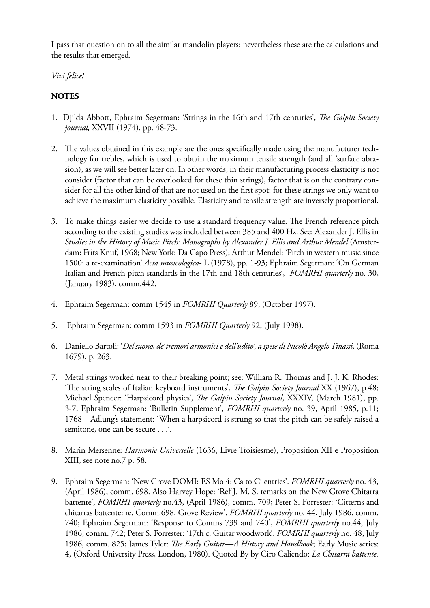I pass that question on to all the similar mandolin players: nevertheless these are the calculations and the results that emerged.

*Vivi felice!*

# **NOTES**

- 1. Djilda Abbott, Ephraim Segerman: 'Strings in the 16th and 17th centuries', *The Galpin Society journal,* XXVII (1974), pp. 48-73.
- 2. The values obtained in this example are the ones specifically made using the manufacturer technology for trebles, which is used to obtain the maximum tensile strength (and all 'surface abrasion), as we will see better later on. In other words, in their manufacturing process elasticity is not consider (factor that can be overlooked for these thin strings), factor that is on the contrary consider for all the other kind of that are not used on the first spot: for these strings we only want to achieve the maximum elasticity possible. Elasticity and tensile strength are inversely proportional.
- 3. To make things easier we decide to use a standard frequency value. The French reference pitch according to the existing studies was included between 385 and 400 Hz. See: Alexander J. Ellis in *Studies in the History of Music Pitch: Monographs by Alexander J. Ellis and Arthur Mendel* (Amsterdam: Frits Knuf, 1968; New York: Da Capo Press); Arthur Mendel: 'Pitch in western music since 1500: a re-examination' *Acta musicologica*- L (1978), pp. 1-93; Ephraim Segerman: 'On German Italian and French pitch standards in the 17th and 18th centuries', *FOMRHI quarterly* no. 30, (January 1983), comm.442.
- 4. Ephraim Segerman: comm 1545 in *FOMRHI Quarterly* 89, (October 1997).
- 5. Ephraim Segerman: comm 1593 in *FOMRHI Quarterly* 92, (July 1998).
- 6. Daniello Bartoli: '*Del suono, de' tremori armonici e dell'udito', a spese di Nicolò Angelo Tinassi,* (Roma 1679), p. 263.
- 7. Metal strings worked near to their breaking point; see: William R. Thomas and J. J. K. Rhodes: 'The string scales of Italian keyboard instruments', *The Galpin Society Journal* XX (1967), p.48; Michael Spencer: 'Harpsicord physics', *The Galpin Society Journal*, XXXIV, (March 1981), pp. 3-7, Ephraim Segerman: 'Bulletin Supplement', *FOMRHI quarterly* no. 39, April 1985, p.11; 1768—Adlung's statement: 'When a harpsicord is strung so that the pitch can be safely raised a semitone, one can be secure . . .'.
- 8. Marin Mersenne: *Harmonie Universelle* (1636, Livre Troisiesme), Proposition XII e Proposition XIII, see note no.7 p. 58.
- 9. Ephraim Segerman: 'New Grove DOMI: ES Mo 4: Ca to Ci entries'. *FOMRHI quarterly* no. 43, (April 1986), comm. 698. Also Harvey Hope: 'Ref J. M. S. remarks on the New Grove Chitarra battente', *FOMRHI quarterly* no.43, (April 1986), comm. 709; Peter S. Forrester: 'Citterns and chitarras battente: re. Comm.698, Grove Review'. *FOMRHI quarterly* no. 44, July 1986, comm. 740; Ephraim Segerman: 'Response to Comms 739 and 740', *FOMRHI quarterly* no.44, July 1986, comm. 742; Peter S. Forrester: '17th c. Guitar woodwork'. *FOMRHI quarterly* no. 48, July 1986, comm. 825; James Tyler: *The Early Guitar—A History and Handbook*; Early Music series: 4, (Oxford University Press, London, 1980). Quoted By by Ciro Caliendo: *La Chitarra battente.*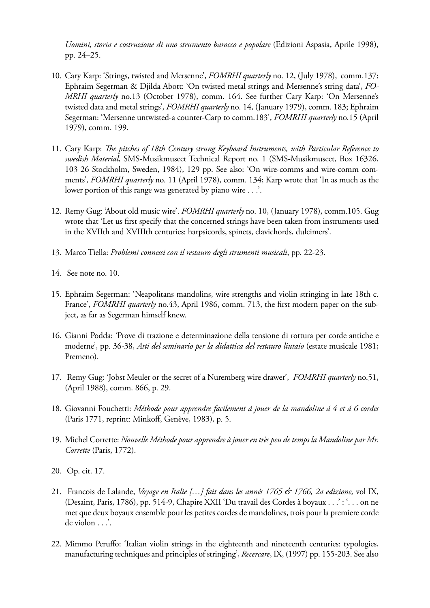*Uomini, storia e costruzione di uno strumento barocco e popolare* (Edizioni Aspasia, Aprile 1998), pp. 24–25.

- 10. Cary Karp: 'Strings, twisted and Mersenne', *FOMRHI quarterly* no. 12, (July 1978), comm.137; Ephraim Segerman & Djilda Abott: 'On twisted metal strings and Mersenne's string data', *FO-MRHI quarterly* no.13 (October 1978), comm. 164. See further Cary Karp: 'On Mersenne's twisted data and metal strings', *FOMRHI quarterly* no. 14, (January 1979), comm. 183; Ephraim Segerman: 'Mersenne untwisted-a counter-Carp to comm.183', *FOMRHI quarterly* no.15 (April 1979), comm. 199.
- 11. Cary Karp: *The pitches of 18th Century strung Keyboard Instruments, with Particular Reference to swedish Material*, SMS-Musikmuseet Technical Report no. 1 (SMS-Musikmuseet, Box 16326, 103 26 Stockholm, Sweden, 1984), 129 pp. See also: 'On wire-comms and wire-comm comments', *FOMRHI quarterly* no. 11 (April 1978), comm. 134; Karp wrote that 'In as much as the lower portion of this range was generated by piano wire . . . .
- 12. Remy Gug: 'About old music wire'. *FOMRHI quarterly* no. 10, (January 1978), comm.105. Gug wrote that 'Let us first specify that the concerned strings have been taken from instruments used in the XVIIth and XVIIIth centuries: harpsicords, spinets, clavichords, dulcimers'.
- 13. Marco Tiella: *Problemi connessi con il restauro degli strumenti musicali*, pp. 22-23.
- 14. See note no. 10.
- 15. Ephraim Segerman: 'Neapolitans mandolins, wire strengths and violin stringing in late 18th c. France', *FOMRHI quarterly* no.43, April 1986, comm. 713, the first modern paper on the subject, as far as Segerman himself knew.
- 16. Gianni Podda: 'Prove di trazione e determinazione della tensione di rottura per corde antiche e moderne', pp. 36-38, *Atti del seminario per la didattica del restauro liutaio* (estate musicale 1981; Premeno).
- 17. Remy Gug: 'Jobst Meuler or the secret of a Nuremberg wire drawer', *FOMRHI quarterly* no.51, (April 1988), comm. 866, p. 29.
- 18. Giovanni Fouchetti: *Méthode pour apprendre facilement á jouer de la mandoline á 4 et á 6 cordes*  (Paris 1771, reprint: Minkoff, Genève, 1983), p. 5.
- 19. Michel Corrette: *Nouvelle Méthode pour apprendre à jouer en très peu de temps la Mandoline par Mr. Corrette* (Paris, 1772).
- 20. Op. cit. 17.
- 21. Francois de Lalande, *Voyage en Italie […] fait dans les annés 1765 & 1766, 2a edizione,* vol IX, (Desaint, Paris, 1786), pp. 514-9, Chapire XXII 'Du travail des Cordes à boyaux . . .' : '. . . on ne met que deux boyaux ensemble pour les petites cordes de mandolines, trois pour la premiere corde de violon . . .'.
- 22. Mimmo Peruffo: 'Italian violin strings in the eighteenth and nineteenth centuries: typologies, manufacturing techniques and principles of stringing', *Recercare*, IX, (1997) pp. 155-203. See also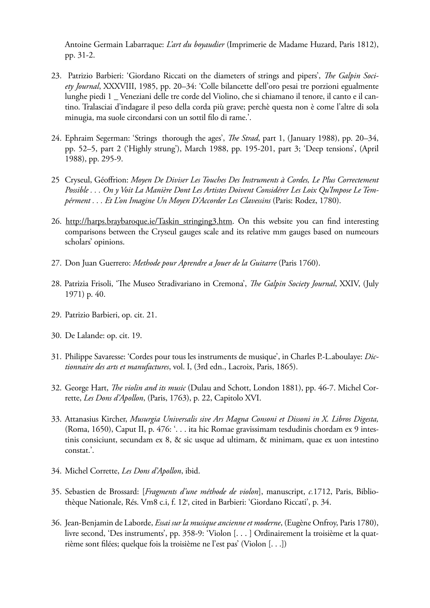Antoine Germain Labarraque: *L'art du boyaudier* (Imprimerie de Madame Huzard, Paris 1812), pp. 31-2.

- 23. Patrizio Barbieri: 'Giordano Riccati on the diameters of strings and pipers', *The Galpin Society Journal*, XXXVIII, 1985, pp. 20–34: 'Colle bilancette dell'oro pesai tre porzioni egualmente lunghe piedi 1 \_ Veneziani delle tre corde del Violino, che si chiamano il tenore, il canto e il cantino. Tralasciai d'indagare il peso della corda più grave; perchè questa non è come l'altre di sola minugia, ma suole circondarsi con un sottil filo di rame.'.
- 24. Ephraim Segerman: 'Strings thorough the ages', *The Strad*, part 1, (January 1988), pp. 20–34, pp. 52–5, part 2 ('Highly strung'), March 1988, pp. 195-201, part 3; 'Deep tensions', (April 1988), pp. 295-9.
- 25 Cryseul, Géoffrion: *Moyen De Diviser Les Touches Des Instruments à Cordes, Le Plus Correctement Possible . . . On y Voit La Manière Dont Les Artistes Doivent Considérer Les Loix Qu'Impose Le Tempérment . . . Et L'on Imagine Un Moyen D'Accorder Les Clavessins* (Paris: Rodez, 1780).
- 26. http://harps.braybaroque.ie/Taskin\_stringing3.htm. On this website you can find interesting comparisons between the Cryseul gauges scale and its relative mm gauges based on numeours scholars' opinions.
- 27. Don Juan Guerrero: *Methode pour Aprendre a Jouer de la Guitarre* (Paris 1760).
- 28. Patrizia Frisoli, 'The Museo Stradivariano in Cremona', *The Galpin Society Journal*, XXIV, (July 1971) p. 40.
- 29. Patrizio Barbieri, op. cit. 21.
- 30. De Lalande: op. cit. 19.
- 31. Philippe Savaresse: 'Cordes pour tous les instruments de musique', in Charles P.-L.aboulaye: *Dictionnaire des arts et manufactures*, vol. I, (3rd edn., Lacroix, Paris, 1865).
- 32. George Hart, *The violin and its music* (Dulau and Schott, London 1881), pp. 46-7. Michel Corrette, *Les Dons d'Apollon*, (Paris, 1763), p. 22, Capitolo XVI.
- 33. Attanasius Kircher, *Musurgia Universalis sive Ars Magna Consoni et Dissoni in X. Libros Digesta,*  (Roma, 1650), Caput II, p. 476: '. . . ita hic Romae gravissimam tesdudinis chordam ex 9 intestinis consiciunt, secundam ex 8, & sic usque ad ultimam, & minimam, quae ex uon intestino constat.'.
- 34. Michel Corrette, *Les Dons d'Apollon*, ibid.
- 35. Sebastien de Brossard: [*Fragments d'une méthode de violon*], manuscript, *c.*1712, Paris, Bibliothèque Nationale, Rés. Vm8 c.i, f. 12<sup>r</sup>, cited in Barbieri: 'Giordano Riccati', p. 34.
- 36. Jean-Benjamin de Laborde, *Essai sur la musique ancienne et moderne*, (Eugène Onfroy, Paris 1780), livre second, 'Des instruments', pp. 358-9: 'Violon [. . . ] Ordinairement la troisième et la quatrième sont filées; quelque fois la troisième ne l'est pas' (Violon [. . .])